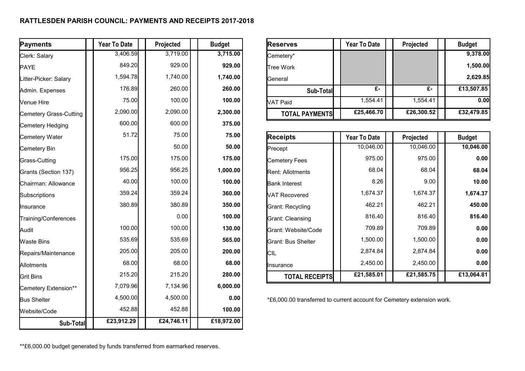## **RATTLESDEN PARISH COUNCIL: PAYMENTS AND RECEIPTS 2017-2018**

| Payments               | <b>Year To Date</b> | Projected  | <b>Budget</b> | <b>Reserves</b>                                                        | <b>Year To Date</b> | Projected  | <b>Budget</b> |
|------------------------|---------------------|------------|---------------|------------------------------------------------------------------------|---------------------|------------|---------------|
| Clerk: Salary          | 3,406.59            | 3,719.00   | 3,715.00      | Cemetery*                                                              |                     |            | 9,378.00      |
| <b>PAYE</b>            | 849.20              | 929.00     | 929.00        | <b>Tree Work</b>                                                       |                     |            | 1,500.00      |
| Litter-Picker: Salary  | 1,594.78            | 1,740.00   | 1,740.00      | General                                                                |                     |            | 2,629.85      |
| Admin. Expenses        | 176.89              | 260.00     | 260.00        | <b>Sub-Total</b>                                                       | £-                  | £-         | £13,507.85    |
| Venue Hire             | 75.00               | 100.00     | 100.00        | <b>VAT Paid</b>                                                        | 1,554.41            | 1,554.41   | 0.00          |
| Cemetery Grass-Cutting | 2,090.00            | 2,090.00   | 2,300.00      | <b>TOTAL PAYMENTS</b>                                                  | £25,466.70          | £26,300.52 | £32,479.85    |
| Cemetery Hedging       | 600.00              | 600.00     | 375.00        |                                                                        |                     |            |               |
| Cemetery Water         | 51.72               | 75.00      | 75.00         | <b>Receipts</b>                                                        | <b>Year To Date</b> | Projected  | <b>Budget</b> |
| Cemetery Bin           |                     | 50.00      | 50.00         | Precept                                                                | 10,046.00           | 10,046.00  | 10,046.00     |
| Grass-Cutting          | 175.00              | 175.00     | 175.00        | <b>Cemetery Fees</b>                                                   | 975.00              | 975.00     | 0.00          |
| Grants (Section 137)   | 956.25              | 956.25     | 1,000.00      | <b>Rent: Allotments</b>                                                | 68.04               | 68.04      | 68.04         |
| Chairman: Allowance    | 40.00               | 100.00     | 100.00        | <b>Bank Interest</b>                                                   | 8.26                | 9.00       | 10.00         |
| Subscriptions          | 359.24              | 359.24     | 360.00        | <b>VAT Recovered</b>                                                   | 1,674.37            | 1,674.37   | 1,674.37      |
| Insurance              | 380.89              | 380.89     | 350.00        | <b>Grant: Recycling</b>                                                | 462.21              | 462.21     | 450.00        |
| Training/Conferences   |                     | 0.00       | 100.00        | <b>Grant: Cleansing</b>                                                | 816.40              | 816.40     | 816.40        |
| Audit                  | 100.00              | 100.00     | 130.00        | Grant: Website/Code                                                    | 709.89              | 709.89     | 0.00          |
| Waste Bins             | 535.69              | 535.69     | 565.00        | <b>Grant: Bus Shelter</b>                                              | 1,500.00            | 1,500.00   | 0.00          |
| Repairs/Maintenance    | 205.00              | 205.00     | 200.00        | <b>CIL</b>                                                             | 2,874.84            | 2,874.84   | 0.00          |
| Allotments             | 68.00               | 68.00      | 68.00         | Insurance                                                              | 2,450.00            | 2,450.00   | 0.00          |
| <b>Grit Bins</b>       | 215.20              | 215.20     | 280.00        | <b>TOTAL RECEIPTS</b>                                                  | £21,585.01          | £21,585.75 | £13,064.81    |
| Cemetery Extension**   | 7,079.96            | 7,134.96   | 6,000.00      |                                                                        |                     |            |               |
| <b>Bus Shelter</b>     | 4,500.00            | 4,500.00   | 0.00          | *£6,000.00 transferred to current account for Cemetery extension work. |                     |            |               |
| Website/Code           | 452.88              | 452.88     | 100.00        |                                                                        |                     |            |               |
| Sub-Total              | £23,912.29          | £24,746.11 | £18,972.00    |                                                                        |                     |            |               |

| <b>Reserves</b>       | <b>Year To Date</b> | Projected  | <b>Budget</b> |
|-----------------------|---------------------|------------|---------------|
| Cemetery*             |                     |            | 9,378.00      |
| <b>Tree Work</b>      |                     |            | 1,500.00      |
| <b>I</b> General      |                     |            | 2,629.85      |
| Sub-Total             | £-                  | £-         | £13,507.85    |
| <b>VAT Paid</b>       | 1,554.41            | 1,554.41   | 0.00          |
| <b>TOTAL PAYMENTS</b> | £25,466.70          | £26,300.52 | £32,479.85    |

| <b>Receipts</b>         | <b>Year To Date</b> | Projected  | <b>Budget</b> |
|-------------------------|---------------------|------------|---------------|
| Precept                 | 10,046.00           | 10,046.00  | 10,046.00     |
| <b>Cemetery Fees</b>    | 975.00              | 975.00     | 0.00          |
| <b>Rent: Allotments</b> | 68.04               | 68.04      | 68.04         |
| <b>Bank Interest</b>    | 8.26                | 9.00       | 10.00         |
| <b>VAT Recovered</b>    | 1,674.37            | 1,674.37   | 1,674.37      |
| Grant: Recycling        | 462.21              | 462.21     | 450.00        |
| Grant: Cleansing        | 816.40              | 816.40     | 816.40        |
| Grant: Website/Code     | 709.89              | 709.89     | 0.00          |
| Grant: Bus Shelter      | 1,500.00            | 1,500.00   | 0.00          |
| CIL                     | 2,874.84            | 2,874.84   | 0.00          |
| IInsurance              | 2,450.00            | 2,450.00   | 0.00          |
| <b>TOTAL RECEIPTS</b>   | £21,585.01          | £21,585.75 | £13,064.81    |

\*\*£6,000.00 budget generated by funds transferred from earmarked reserves.